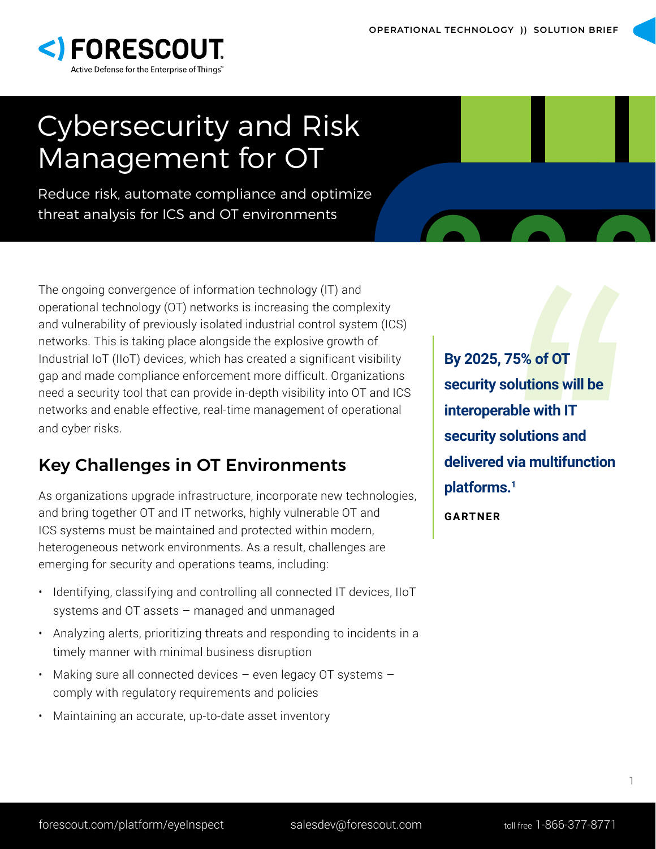

# Cybersecurity and Risk Management for OT

Reduce risk, automate compliance and optimize threat analysis for ICS and OT environments

The ongoing convergence of information technology (IT) and operational technology (OT) networks is increasing the complexity and vulnerability of previously isolated industrial control system (ICS) networks. This is taking place alongside the explosive growth of Industrial IoT (IIoT) devices, which has created a significant visibility gap and made compliance enforcement more difficult. Organizations need a security tool that can provide in-depth visibility into OT and ICS networks and enable effective, real-time management of operational and cyber risks.

# Key Challenges in OT Environments

As organizations upgrade infrastructure, incorporate new technologies, and bring together OT and IT networks, highly vulnerable OT and ICS systems must be maintained and protected within modern, heterogeneous network environments. As a result, challenges are emerging for security and operations teams, including:

- Identifying, classifying and controlling all connected IT devices, IIoT systems and OT assets – managed and unmanaged
- Analyzing alerts, prioritizing threats and responding to incidents in a timely manner with minimal business disruption
- Making sure all connected devices even legacy OT systems comply with regulatory requirements and policies
- Maintaining an accurate, up-to-date asset inventory

**By 2025, 75% of OT**<br>security solutions will be<br>interoperable with IT<br>security solutions and<br>delivered via multifunction<br>platforms.<sup>1</sup><br>GARTNER **security solutions will be interoperable with IT security solutions and delivered via multifunction platforms.1**

**GARTNER**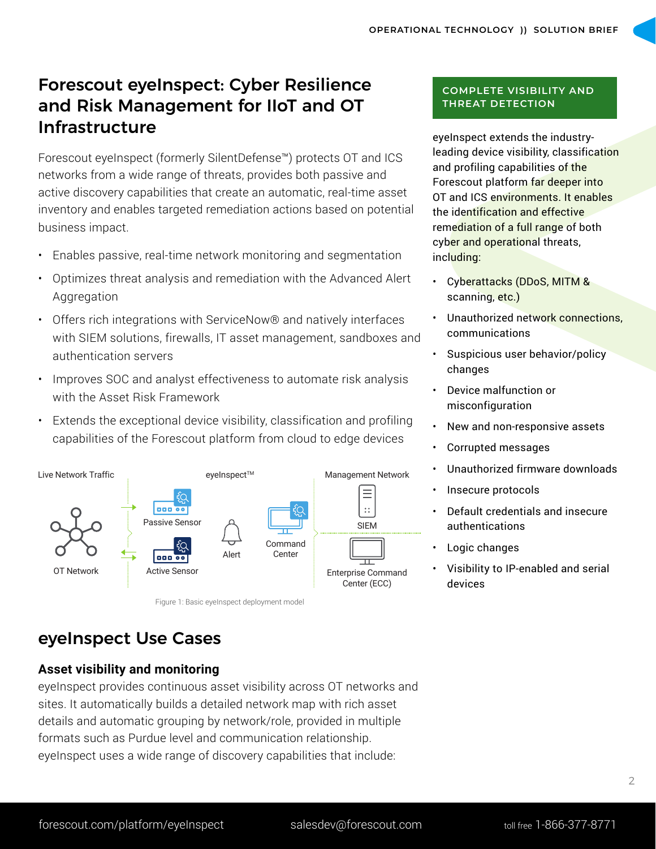# Forescout eyeInspect: Cyber Resilience and Risk Management for IIoT and OT Infrastructure

Forescout eyeInspect (formerly SilentDefense™) protects OT and ICS networks from a wide range of threats, provides both passive and active discovery capabilities that create an automatic, real-time asset inventory and enables targeted remediation actions based on potential business impact.

- Enables passive, real-time network monitoring and segmentation
- Optimizes threat analysis and remediation with the Advanced Alert Aggregation
- Offers rich integrations with ServiceNow® and natively interfaces with SIEM solutions, firewalls, IT asset management, sandboxes and authentication servers
- Improves SOC and analyst effectiveness to automate risk analysis with the Asset Risk Framework
- Extends the exceptional device visibility, classification and profiling capabilities of the Forescout platform from cloud to edge devices



Figure 1: Basic eyeInspect deployment model

#### **COMPLETE VISIBILITY AND THREAT DETECTION**

eyeInspect extends the industryleading device visibility, classification and profiling capabilities of the Forescout platform far deeper into OT and ICS environments. It enables the identification and effective remediation of a full range of both cyber and operational threats, including:

- Cyberattacks (DDoS, MITM & scanning, etc.)
- Unauthorized network connections, communications
- Suspicious user behavior/policy changes
- Device malfunction or misconfiguration
- New and non-responsive assets
- Corrupted messages
- Unauthorized firmware downloads
- Insecure protocols
- Default credentials and insecure authentications
- Logic changes
- Visibility to IP-enabled and serial devices

# eyeInspect Use Cases

### **Asset visibility and monitoring**

eyeInspect provides continuous asset visibility across OT networks and sites. It automatically builds a detailed network map with rich asset details and automatic grouping by network/role, provided in multiple formats such as Purdue level and communication relationship. eyeInspect uses a wide range of discovery capabilities that include: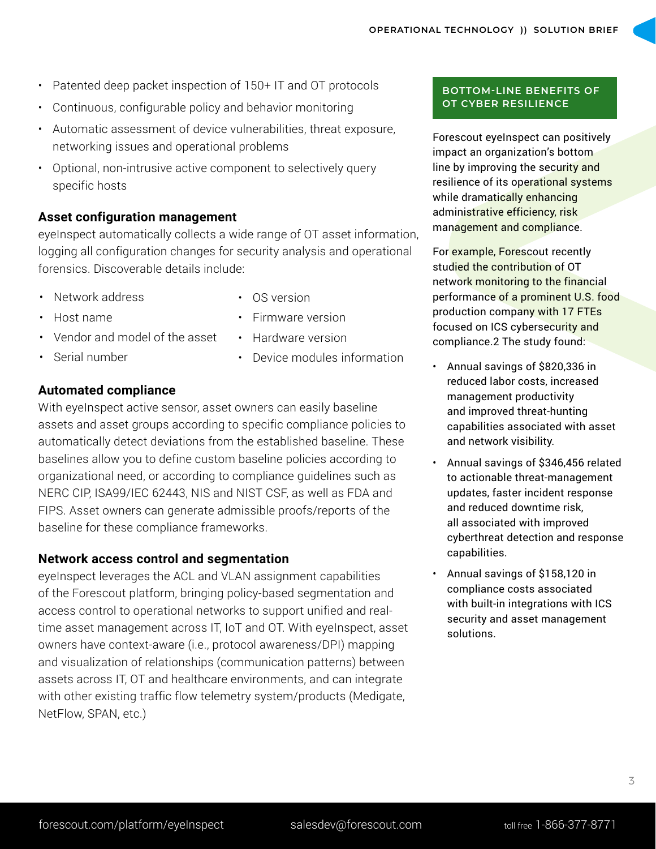- Patented deep packet inspection of 150+ IT and OT protocols
- Continuous, configurable policy and behavior monitoring
- Automatic assessment of device vulnerabilities, threat exposure, networking issues and operational problems
- Optional, non-intrusive active component to selectively query specific hosts

## **Asset configuration management**

eyeInspect automatically collects a wide range of OT asset information, logging all configuration changes for security analysis and operational forensics. Discoverable details include:

- Network address
- Host name
- Vendor and model of the asset
- Serial number

• OS version

• Firmware version • Hardware version

- Device modules information
- **Automated compliance**

With eyeInspect active sensor, asset owners can easily baseline assets and asset groups according to specific compliance policies to automatically detect deviations from the established baseline. These baselines allow you to define custom baseline policies according to organizational need, or according to compliance guidelines such as NERC CIP, ISA99/IEC 62443, NIS and NIST CSF, as well as FDA and FIPS. Asset owners can generate admissible proofs/reports of the baseline for these compliance frameworks.

## **Network access control and segmentation**

eyeInspect leverages the ACL and VLAN assignment capabilities of the Forescout platform, bringing policy-based segmentation and access control to operational networks to support unified and realtime asset management across IT, IoT and OT. With eyeInspect, asset owners have context-aware (i.e., protocol awareness/DPI) mapping and visualization of relationships (communication patterns) between assets across IT, OT and healthcare environments, and can integrate with other existing traffic flow telemetry system/products (Medigate, NetFlow, SPAN, etc.)

#### **BOTTOM-LINE BENEFITS OF OT CYBER RESILIENCE**

Forescout eyeInspect can positively impact an organization's bottom line by improving the security and resilience of its operational systems while dramatically enhancing administrative efficiency, risk management and compliance.

For example, Forescout recently studied the contribution of OT network monitoring to the financial performance of a prominent U.S. food production company with 17 FTEs focused on ICS cybersecurity and compliance.2 The study found:

- Annual savings of \$820,336 in reduced labor costs, increased management productivity and improved threat-hunting capabilities associated with asset and network visibility.
- Annual savings of \$346,456 related to actionable threat-management updates, faster incident response and reduced downtime risk, all associated with improved cyberthreat detection and response capabilities.
- Annual savings of \$158,120 in compliance costs associated with built-in integrations with ICS security and asset management solutions.